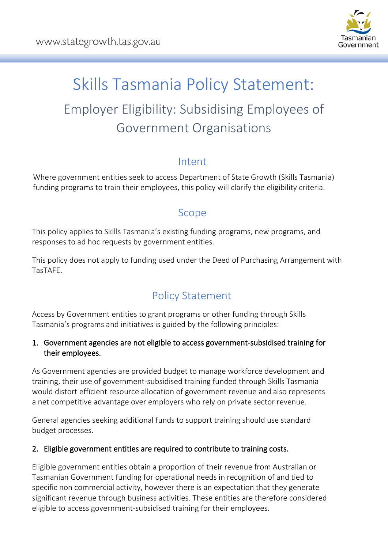

# Skills Tasmania Policy Statement: Employer Eligibility: Subsidising Employees of Government Organisations

#### Intent

Where government entities seek to access Department of State Growth (Skills Tasmania) funding programs to train their employees, this policy will clarify the eligibility criteria.

## Scope

This policy applies to Skills Tasmania's existing funding programs, new programs, and responses to ad hoc requests by government entities.

This policy does not apply to funding used under the Deed of Purchasing Arrangement with TasTAFE.

## Policy Statement

Access by Government entities to grant programs or other funding through Skills Tasmania's programs and initiatives is guided by the following principles:

#### 1. Government agencies are not eligible to access government-subsidised training for their employees.

As Government agencies are provided budget to manage workforce development and training, their use of government-subsidised training funded through Skills Tasmania would distort efficient resource allocation of government revenue and also represents a net competitive advantage over employers who rely on private sector revenue.

General agencies seeking additional funds to support training should use standard budget processes.

#### 2. Eligible government entities are required to contribute to training costs.

Eligible government entities obtain a proportion of their revenue from Australian or Tasmanian Government funding for operational needs in recognition of and tied to specific non commercial activity, however there is an expectation that they generate significant revenue through business activities. These entities are therefore considered eligible to access government-subsidised training for their employees.